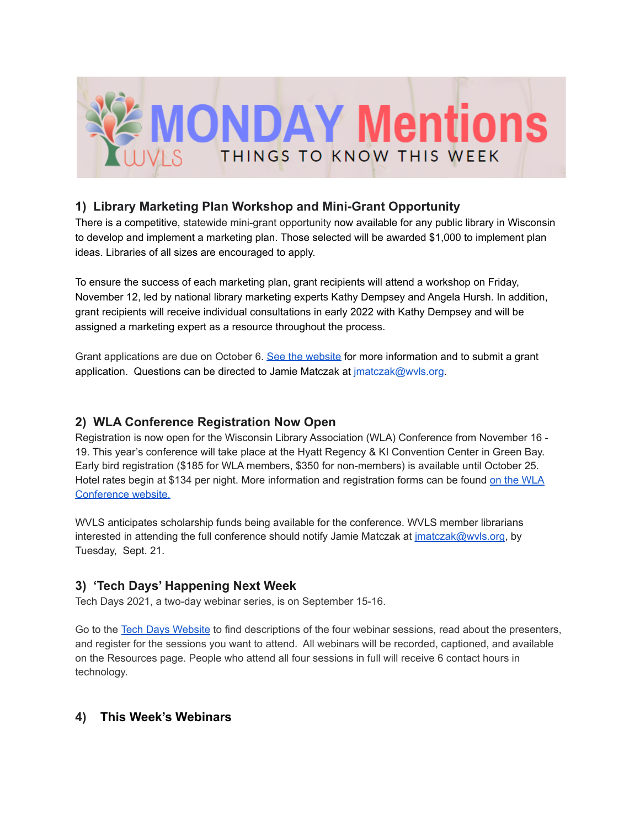

# **1) Library Marketing Plan Workshop and Mini-Grant Opportunity**

There is a competitive, statewide mini-grant opportunity now available for any public library in Wisconsin to develop and implement a marketing plan. Those selected will be awarded \$1,000 to implement plan ideas. Libraries of all sizes are encouraged to apply.

To ensure the success of each marketing plan, grant recipients will attend a workshop on Friday, November 12, led by national library marketing experts Kathy Dempsey and Angela Hursh. In addition, grant recipients will receive individual consultations in early 2022 with Kathy Dempsey and will be assigned a marketing expert as a resource throughout the process.

Grant applications are due on October 6. See the [website](https://library-marketing.owlswp.org/) for more information and to submit a grant application. Questions can be directed to Jamie Matczak at jmatczak@wvls.org.

# **2) WLA Conference Registration Now Open**

Registration is now open for the Wisconsin Library Association (WLA) Conference from November 16 - 19. This year's conference will take place at the Hyatt Regency & KI Convention Center in Green Bay. Early bird registration (\$185 for WLA members, \$350 for non-members) is available until October 25. Hotel rates begin at \$134 per night. More information and registration forms can be found on the [WLA](https://www.wisconsinlibraries.org/wla-registration-hotel) [Conference](https://www.wisconsinlibraries.org/wla-registration-hotel) website.

WVLS anticipates scholarship funds being available for the conference. WVLS member librarians interested in attending the full conference should notify Jamie Matczak at *[jmatczak@wvls.org](mailto:jmatczak@wvls.org)*, by Tuesday, Sept. 21.

# **3) 'Tech Days' Happening Next Week**

Tech Days 2021, a two-day webinar series, is on September 15-16.

Go to the Tech Days [Website](http://techdayswisc.org) to find descriptions of the four webinar sessions, read about the presenters, and register for the sessions you want to attend. All webinars will be recorded, captioned, and available on the Resources page. People who attend all four sessions in full will receive 6 contact hours in technology.

# **4) This Week's Webinars**